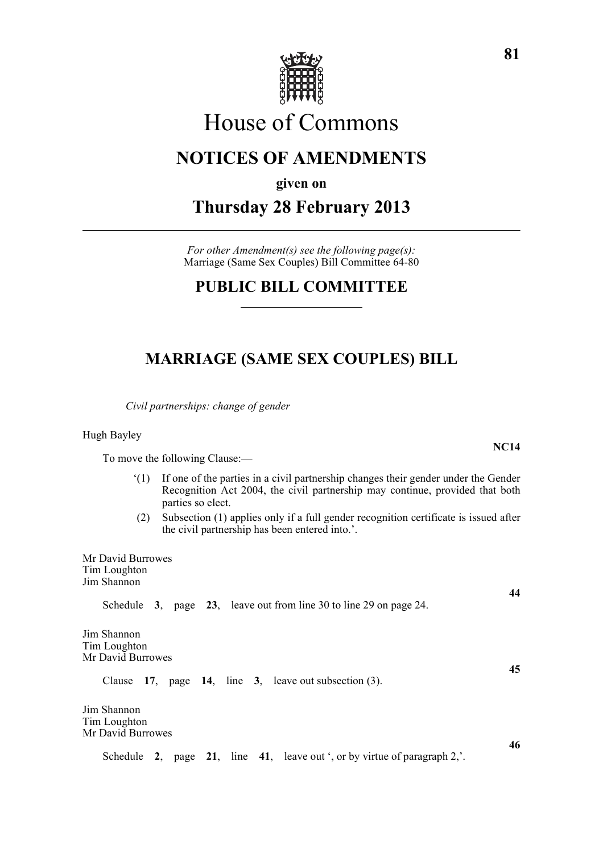

# House of Commons

## **NOTICES OF AMENDMENTS**

**given on**

**Thursday 28 February 2013**

*For other Amendment(s) see the following page(s):* Marriage (Same Sex Couples) Bill Committee 64-80

## **PUBLIC BILL COMMITTEE**

## **MARRIAGE (SAME SEX COUPLES) BILL**

*Civil partnerships: change of gender*

Hugh Bayley

To move the following Clause:—

- '(1) If one of the parties in a civil partnership changes their gender under the Gender Recognition Act 2004, the civil partnership may continue, provided that both parties so elect.
- (2) Subsection (1) applies only if a full gender recognition certificate is issued after the civil partnership has been entered into.'.

| Mr David Burrowes<br>Tim Loughton<br>Jim Shannon                             |    |  |  |
|------------------------------------------------------------------------------|----|--|--|
| Schedule 3, page 23, leave out from line 30 to line 29 on page 24.           | 44 |  |  |
| Jim Shannon<br>Tim Loughton<br>Mr David Burrowes                             | 45 |  |  |
| Clause $17$ , page $14$ , line 3, leave out subsection (3).                  |    |  |  |
| Jim Shannon<br>Tim Loughton<br>Mr David Burrowes                             | 46 |  |  |
| page 21, line 41, leave out ', or by virtue of paragraph 2,'.<br>Schedule 2, |    |  |  |

**NC14**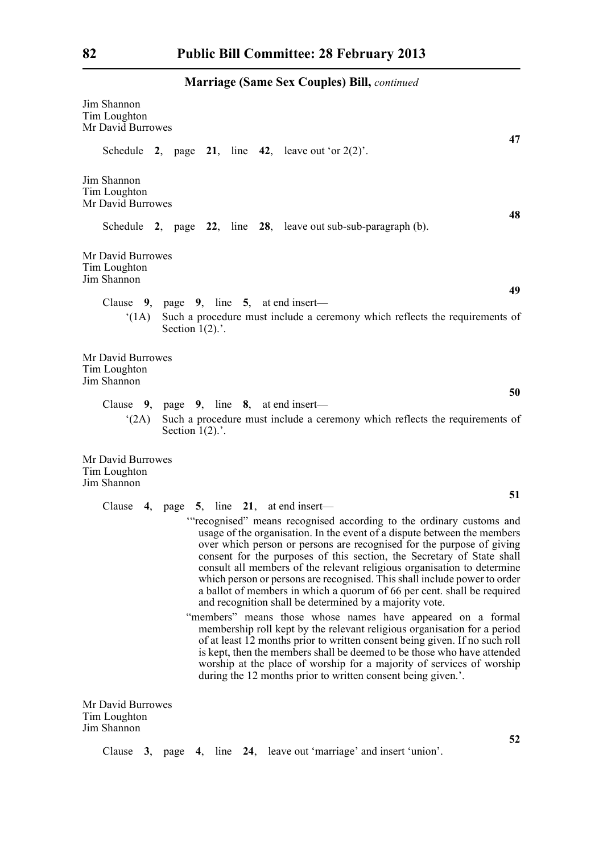| <b>Marriage (Same Sex Couples) Bill, continued</b> |  |  |  |  |  |
|----------------------------------------------------|--|--|--|--|--|
|----------------------------------------------------|--|--|--|--|--|

| Jim Shannon<br>Tim Loughton<br>Mr David Burrowes                                                                                                                                                                                                                                                                                                                                                                                                                                                                                                                                                 |
|--------------------------------------------------------------------------------------------------------------------------------------------------------------------------------------------------------------------------------------------------------------------------------------------------------------------------------------------------------------------------------------------------------------------------------------------------------------------------------------------------------------------------------------------------------------------------------------------------|
| 47<br>Schedule 2, page 21, line 42, leave out 'or $2(2)$ '.                                                                                                                                                                                                                                                                                                                                                                                                                                                                                                                                      |
| Jim Shannon<br>Tim Loughton<br>Mr David Burrowes<br>48                                                                                                                                                                                                                                                                                                                                                                                                                                                                                                                                           |
| Schedule $2$ , page $22$ , line $28$ , leave out sub-sub-paragraph (b).                                                                                                                                                                                                                                                                                                                                                                                                                                                                                                                          |
| Mr David Burrowes<br>Tim Loughton<br>Jim Shannon                                                                                                                                                                                                                                                                                                                                                                                                                                                                                                                                                 |
| 49<br>Clause 9, page 9, line 5, at end insert-<br>Such a procedure must include a ceremony which reflects the requirements of<br>(1A)<br>Section $1(2)$ .                                                                                                                                                                                                                                                                                                                                                                                                                                        |
| Mr David Burrowes<br>Tim Loughton<br>Jim Shannon<br>50                                                                                                                                                                                                                                                                                                                                                                                                                                                                                                                                           |
| Clause $9$ , page $9$ , line $8$ , at end insert—<br>Such a procedure must include a ceremony which reflects the requirements of<br>(2A)<br>Section $1(2)$ .                                                                                                                                                                                                                                                                                                                                                                                                                                     |
| Mr David Burrowes<br>Tim Loughton<br>Jim Shannon                                                                                                                                                                                                                                                                                                                                                                                                                                                                                                                                                 |
| 51<br>4, page $5$ , line $21$ , at end insert—<br>Clause                                                                                                                                                                                                                                                                                                                                                                                                                                                                                                                                         |
| "recognised" means recognised according to the ordinary customs and<br>usage of the organisation. In the event of a dispute between the members<br>over which person or persons are recognised for the purpose of giving<br>consent for the purposes of this section, the Secretary of State shall<br>consult all members of the relevant religious organisation to determine<br>which person or persons are recognised. This shall include power to order<br>a ballot of members in which a quorum of 66 per cent. shall be required<br>and recognition shall be determined by a majority vote. |
| "members" means those whose names have appeared on a formal<br>membership roll kept by the relevant religious organisation for a period<br>of at least 12 months prior to written consent being given. If no such roll<br>is kept, then the members shall be deemed to be those who have attended<br>worship at the place of worship for a majority of services of worship<br>during the 12 months prior to written consent being given.'.                                                                                                                                                       |
| Mr David Burrowes<br>Tim Loughton<br>Jim Shannon<br>52                                                                                                                                                                                                                                                                                                                                                                                                                                                                                                                                           |

Clause **3**, page **4**, line **24**, leave out 'marriage' and insert 'union'.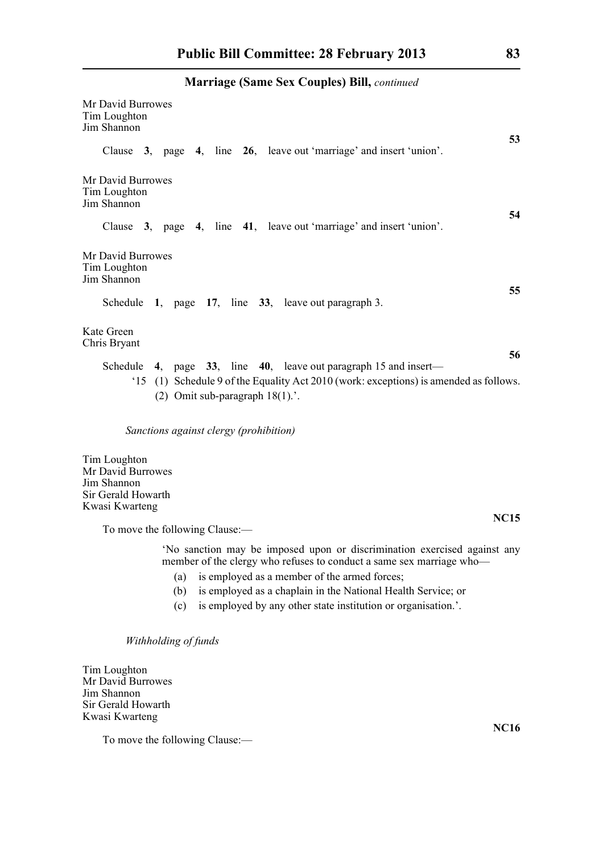### **Marriage (Same Sex Couples) Bill,** *continued*

| Mr David Burrowes<br>Tim Loughton<br>Jim Shannon<br>53                                                                                                                                                                                                                                                                                                 |
|--------------------------------------------------------------------------------------------------------------------------------------------------------------------------------------------------------------------------------------------------------------------------------------------------------------------------------------------------------|
| Clause 3, page 4, line 26, leave out 'marriage' and insert 'union'.                                                                                                                                                                                                                                                                                    |
| Mr David Burrowes<br>Tim Loughton<br>Jim Shannon<br>54                                                                                                                                                                                                                                                                                                 |
| Clause 3, page 4, line 41, leave out 'marriage' and insert 'union'.                                                                                                                                                                                                                                                                                    |
| Mr David Burrowes<br>Tim Loughton<br>Jim Shannon                                                                                                                                                                                                                                                                                                       |
| 55<br>Schedule 1, page 17, line 33, leave out paragraph 3.                                                                                                                                                                                                                                                                                             |
| Kate Green<br>Chris Bryant<br>56                                                                                                                                                                                                                                                                                                                       |
| Schedule 4, page $33$ , line 40, leave out paragraph 15 and insert—<br>(1) Schedule 9 of the Equality Act 2010 (work: exceptions) is amended as follows.<br>(2) Omit sub-paragraph $18(1)$ .                                                                                                                                                           |
| Sanctions against clergy (prohibition)                                                                                                                                                                                                                                                                                                                 |
| Tim Loughton<br>Mr David Burrowes<br>Jim Shannon<br>Sir Gerald Howarth<br>Kwasi Kwarteng                                                                                                                                                                                                                                                               |
| <b>NC15</b><br>To move the following Clause:-                                                                                                                                                                                                                                                                                                          |
| 'No sanction may be imposed upon or discrimination exercised against any<br>member of the clergy who refuses to conduct a same sex marriage who-<br>is employed as a member of the armed forces;<br>(a)<br>is employed as a chaplain in the National Health Service; or<br>(b)<br>is employed by any other state institution or organisation.'.<br>(c) |

*Withholding of funds*

Tim Loughton Mr David Burrowes Jim Shannon Sir Gerald Howarth Kwasi Kwarteng

To move the following Clause:—

**NC16**